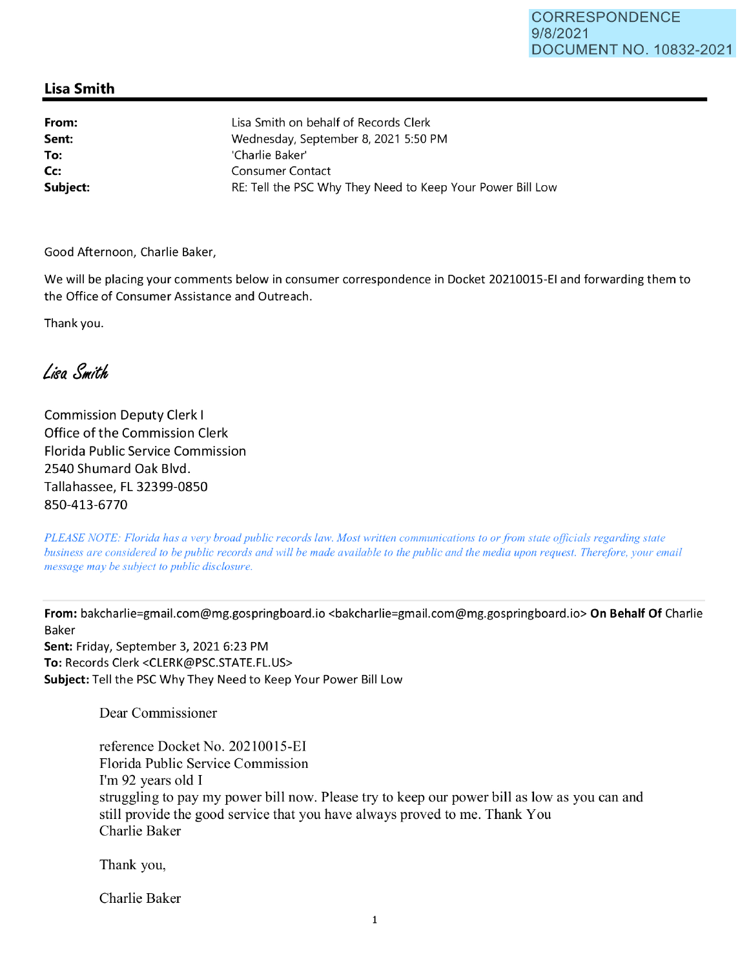## **Lisa Smith**

**From: Sent: To: Cc:**  Lisa Smith on behalf of Records Clerk Wednesday, September 8, 2021 5:50 PM 'Charlie Baker' Consumer Contact **Subject: RE:** Tell the PSC Why They Need to Keep Your Power Bill Low

Good Afternoon, Charlie Baker,

We will be placing your comments below in consumer correspondence in Docket 20210015-EI and forwarding them to the Office of Consumer Assistance and Outreach.

Thank you.

Liga Smith

Commission Deputy Clerk I Office of the Commission Clerk Florida Public Service Commission 2540 Shumard Oak Blvd. Tallahassee, FL 32399-0850 850-413-6770

*PLEASE NOTE: Florida has a very broad public records law. Most written communications to or from state officials regarding state business are considered to be public records and will be made available to the public and the media upon request. Therefore, your email message may be subject to public disclosure.* 

**From:** bakcharlie=gmail.com@mg.gospringboard.io <bakcharlie=gmail.com@mg.gospringboard.io> **On Behalf Of** Charlie Baker

**Sent:** Friday, September 3, 2021 6:23 PM **To:** Records Clerk <CLERK@PSC.STATE.FL.US> **Subject:** Tell the PSC Why They Need to Keep Your Power Bill Low

Dear Commissioner

reference Docket No. 20210015-EI Florida Public Service Commission I'm 92 years old I struggling to pay my power bill now. Please try to keep our power bill as low as you can and still provide the good service that you have always proved to me. Thank You Charlie Baker

Thank you,

Charlie Baker